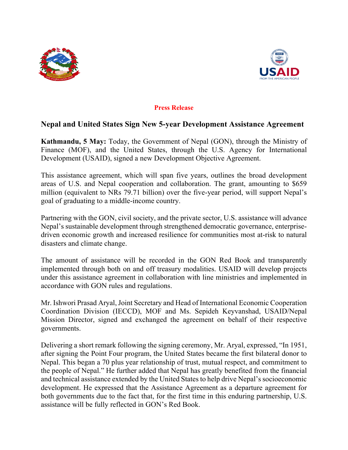



## **Press Release**

## **Nepal and United States Sign New 5-year Development Assistance Agreement**

**Kathmandu, 5 May:** Today, the Government of Nepal (GON), through the Ministry of Finance (MOF), and the United States, through the U.S. Agency for International Development (USAID), signed a new Development Objective Agreement.

This assistance agreement, which will span five years, outlines the broad development areas of U.S. and Nepal cooperation and collaboration. The grant, amounting to \$659 million (equivalent to NRs 79.71 billion) over the five-year period, will support Nepal's goal of graduating to a middle-income country.

Partnering with the GON, civil society, and the private sector, U.S. assistance will advance Nepal's sustainable development through strengthened democratic governance, enterprisedriven economic growth and increased resilience for communities most at-risk to natural disasters and climate change.

The amount of assistance will be recorded in the GON Red Book and transparently implemented through both on and off treasury modalities. USAID will develop projects under this assistance agreement in collaboration with line ministries and implemented in accordance with GON rules and regulations.

Mr. Ishwori Prasad Aryal, Joint Secretary and Head of International Economic Cooperation Coordination Division (IECCD), MOF and Ms. Sepideh Keyvanshad, USAID/Nepal Mission Director, signed and exchanged the agreement on behalf of their respective governments.

Delivering a short remark following the signing ceremony, Mr. Aryal, expressed, "In 1951, after signing the Point Four program, the United States became the first bilateral donor to Nepal. This began a 70 plus year relationship of trust, mutual respect, and commitment to the people of Nepal." He further added that Nepal has greatly benefited from the financial and technical assistance extended by the United States to help drive Nepal's socioeconomic development. He expressed that the Assistance Agreement as a departure agreement for both governments due to the fact that, for the first time in this enduring partnership, U.S. assistance will be fully reflected in GON's Red Book.